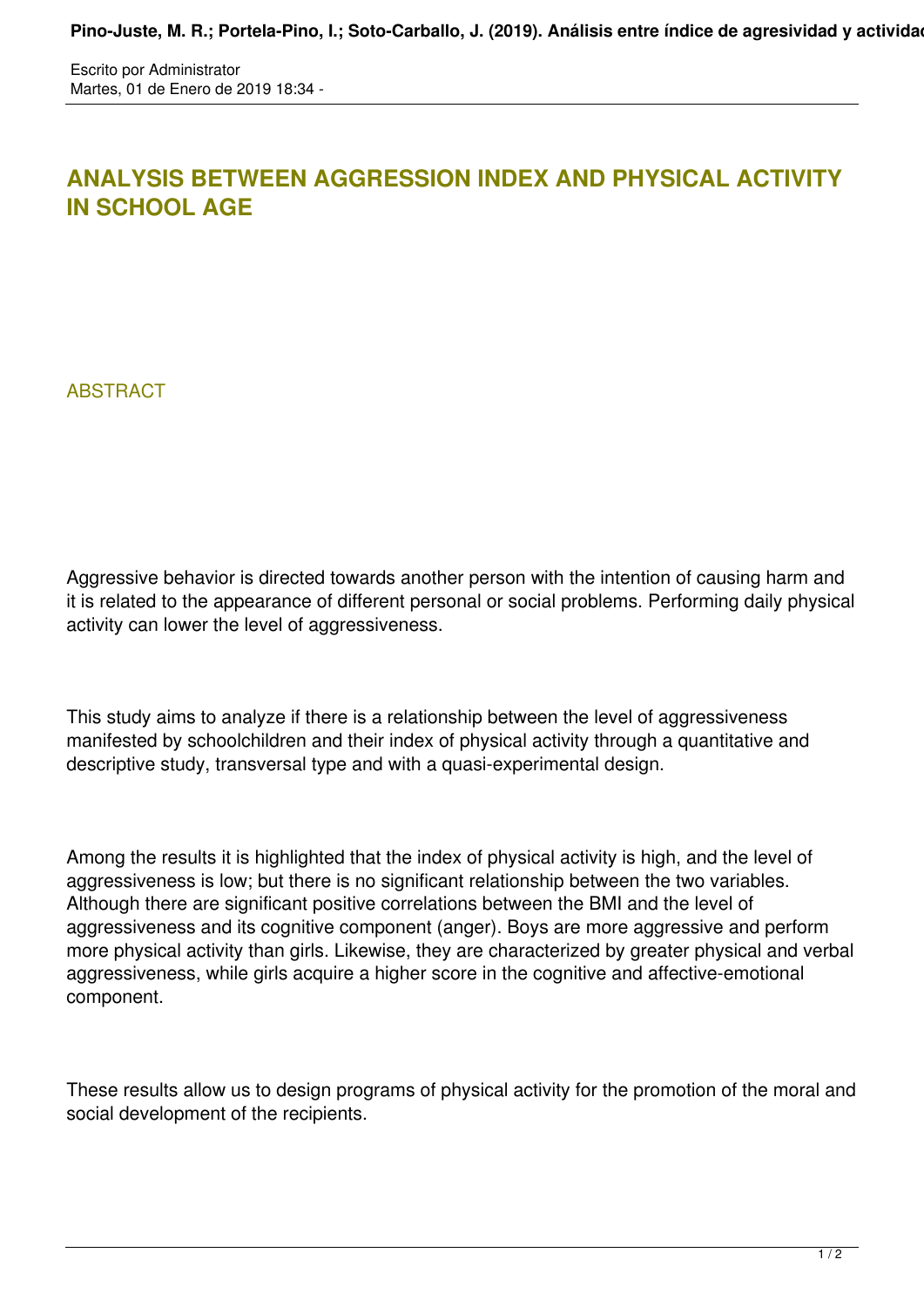Escrito por Administrator Martes, 01 de Enero de 2019 18:34 -

## **ANALYSIS BETWEEN AGGRESSION INDEX AND PHYSICAL ACTIVITY IN SCHOOL AGE**

**ABSTRACT** 

Aggressive behavior is directed towards another person with the intention of causing harm and it is related to the appearance of different personal or social problems. Performing daily physical activity can lower the level of aggressiveness.

This study aims to analyze if there is a relationship between the level of aggressiveness manifested by schoolchildren and their index of physical activity through a quantitative and descriptive study, transversal type and with a quasi-experimental design.

Among the results it is highlighted that the index of physical activity is high, and the level of aggressiveness is low; but there is no significant relationship between the two variables. Although there are significant positive correlations between the BMI and the level of aggressiveness and its cognitive component (anger). Boys are more aggressive and perform more physical activity than girls. Likewise, they are characterized by greater physical and verbal aggressiveness, while girls acquire a higher score in the cognitive and affective-emotional component.

These results allow us to design programs of physical activity for the promotion of the moral and social development of the recipients.